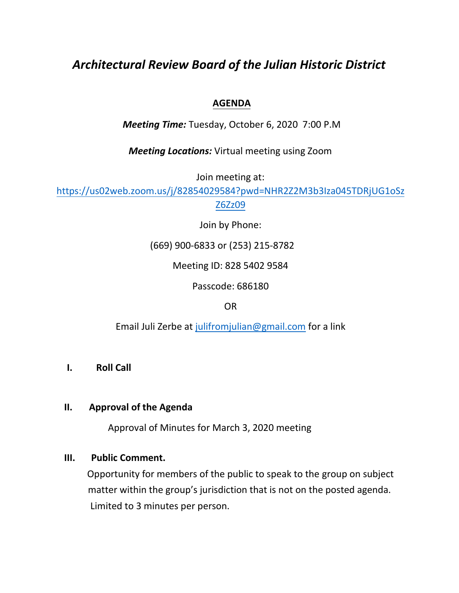# *Architectural Review Board of the Julian Historic District*

# **AGENDA**

*Meeting Time:* Tuesday, October 6, 2020 7:00 P.M

*Meeting Locations:* Virtual meeting using Zoom

Join meeting at:

[https://us02web.zoom.us/j/82854029584?pwd=NHR2Z2M3b3Iza045TDRjUG1oSz](https://us02web.zoom.us/j/82854029584?pwd=NHR2Z2M3b3Iza045TDRjUG1oSzZ6Zz09) [Z6Zz09](https://us02web.zoom.us/j/82854029584?pwd=NHR2Z2M3b3Iza045TDRjUG1oSzZ6Zz09)

Join by Phone:

(669) 900-6833 or (253) 215-8782

Meeting ID: 828 5402 9584

Passcode: 686180

OR

Email Juli Zerbe at [julifromjulian@gmail.com](mailto:julifromjulian@gmail.com) for a link

## **I. Roll Call**

#### **II. Approval of the Agenda**

Approval of Minutes for March 3, 2020 meeting

#### **III. Public Comment.**

Opportunity for members of the public to speak to the group on subject matter within the group's jurisdiction that is not on the posted agenda. Limited to 3 minutes per person.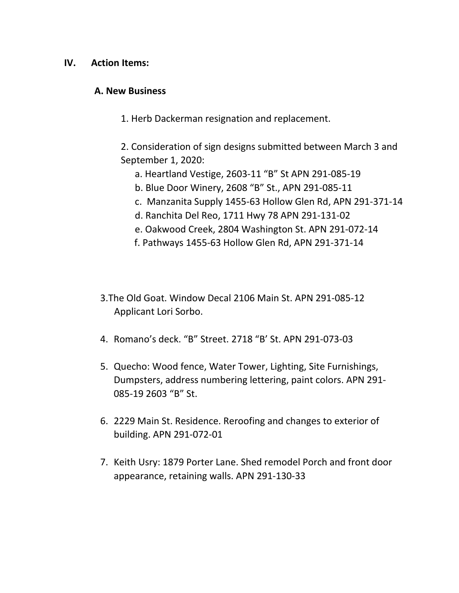#### **IV. Action Items:**

#### **A. New Business**

1. Herb Dackerman resignation and replacement.

2. Consideration of sign designs submitted between March 3 and September 1, 2020:

- a. Heartland Vestige, 2603-11 "B" St APN 291-085-19
- b. Blue Door Winery, 2608 "B" St., APN 291-085-11
- c. Manzanita Supply 1455-63 Hollow Glen Rd, APN 291-371-14
- d. Ranchita Del Reo, 1711 Hwy 78 APN 291-131-02
- e. Oakwood Creek, 2804 Washington St. APN 291-072-14
- f. Pathways 1455-63 Hollow Glen Rd, APN 291-371-14
- 3.The Old Goat. Window Decal 2106 Main St. APN 291-085-12 Applicant Lori Sorbo.
- 4. Romano's deck. "B" Street. 2718 "B' St. APN 291-073-03
- 5. Quecho: Wood fence, Water Tower, Lighting, Site Furnishings, Dumpsters, address numbering lettering, paint colors. APN 291- 085-19 2603 "B" St.
- 6. 2229 Main St. Residence. Reroofing and changes to exterior of building. APN 291-072-01
- 7. Keith Usry: 1879 Porter Lane. Shed remodel Porch and front door appearance, retaining walls. APN 291-130-33